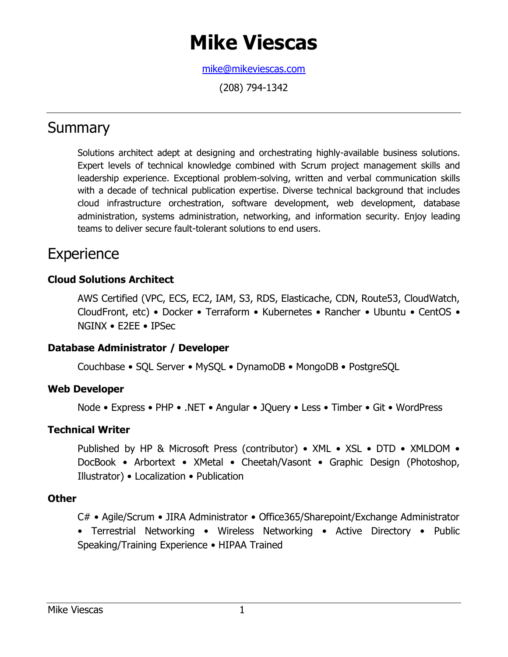# **Mike Viescas**

[mike@mikeviescas.com](mailto:mike@mikeviescas.com)

(208) 794-1342

# **Summary**

Solutions architect adept at designing and orchestrating highly-available business solutions. Expert levels of technical knowledge combined with Scrum project management skills and leadership experience. Exceptional problem-solving, written and verbal communication skills with a decade of technical publication expertise. Diverse technical background that includes cloud infrastructure orchestration, software development, web development, database administration, systems administration, networking, and information security. Enjoy leading teams to deliver secure fault-tolerant solutions to end users.

# **Experience**

### **Cloud Solutions Architect**

AWS Certified (VPC, ECS, EC2, IAM, S3, RDS, Elasticache, CDN, Route53, CloudWatch, CloudFront, etc) • Docker • Terraform • Kubernetes • Rancher • Ubuntu • CentOS • NGINX • E2EE • IPSec

### **Database Administrator / Developer**

Couchbase • SQL Server • MySQL • DynamoDB • MongoDB • PostgreSQL

#### **Web Developer**

Node • Express • PHP • .NET • Angular • JQuery • Less • Timber • Git • WordPress

#### **Technical Writer**

Published by HP & Microsoft Press (contributor) • XML • XSL • DTD • XMLDOM • DocBook • Arbortext • XMetal • Cheetah/Vasont • Graphic Design (Photoshop, Illustrator) • Localization • Publication

### **Other**

C# • Agile/Scrum • JIRA Administrator • Office365/Sharepoint/Exchange Administrator • Terrestrial Networking • Wireless Networking • Active Directory • Public Speaking/Training Experience • HIPAA Trained